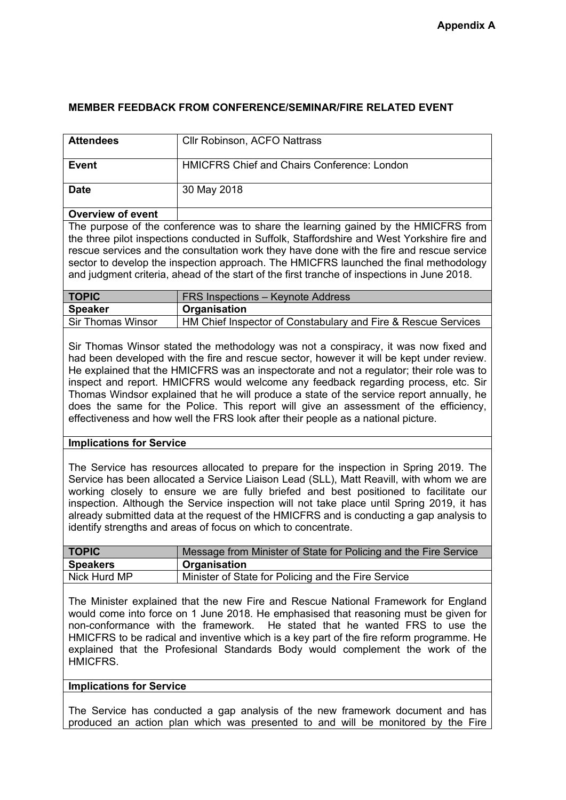## **MEMBER FEEDBACK FROM CONFERENCE/SEMINAR/FIRE RELATED EVENT**

| <b>Attendees</b>                                                                                                                                                                                                                                                                                                                                                                                                                                                                                                                                                                                                                            | <b>Cllr Robinson, ACFO Nattrass</b>                              |  |
|---------------------------------------------------------------------------------------------------------------------------------------------------------------------------------------------------------------------------------------------------------------------------------------------------------------------------------------------------------------------------------------------------------------------------------------------------------------------------------------------------------------------------------------------------------------------------------------------------------------------------------------------|------------------------------------------------------------------|--|
| <b>Event</b>                                                                                                                                                                                                                                                                                                                                                                                                                                                                                                                                                                                                                                | <b>HMICFRS Chief and Chairs Conference: London</b>               |  |
| <b>Date</b>                                                                                                                                                                                                                                                                                                                                                                                                                                                                                                                                                                                                                                 | 30 May 2018                                                      |  |
| <b>Overview of event</b>                                                                                                                                                                                                                                                                                                                                                                                                                                                                                                                                                                                                                    |                                                                  |  |
| The purpose of the conference was to share the learning gained by the HMICFRS from<br>the three pilot inspections conducted in Suffolk, Staffordshire and West Yorkshire fire and<br>rescue services and the consultation work they have done with the fire and rescue service<br>sector to develop the inspection approach. The HMICFRS launched the final methodology<br>and judgment criteria, ahead of the start of the first tranche of inspections in June 2018.                                                                                                                                                                      |                                                                  |  |
| <b>TOPIC</b>                                                                                                                                                                                                                                                                                                                                                                                                                                                                                                                                                                                                                                | FRS Inspections - Keynote Address                                |  |
| <b>Speaker</b>                                                                                                                                                                                                                                                                                                                                                                                                                                                                                                                                                                                                                              | Organisation                                                     |  |
| <b>Sir Thomas Winsor</b>                                                                                                                                                                                                                                                                                                                                                                                                                                                                                                                                                                                                                    | HM Chief Inspector of Constabulary and Fire & Rescue Services    |  |
| Sir Thomas Winsor stated the methodology was not a conspiracy, it was now fixed and<br>had been developed with the fire and rescue sector, however it will be kept under review.<br>He explained that the HMICFRS was an inspectorate and not a regulator; their role was to<br>inspect and report. HMICFRS would welcome any feedback regarding process, etc. Sir<br>Thomas Windsor explained that he will produce a state of the service report annually, he<br>does the same for the Police. This report will give an assessment of the efficiency,<br>effectiveness and how well the FRS look after their people as a national picture. |                                                                  |  |
| <b>Implications for Service</b>                                                                                                                                                                                                                                                                                                                                                                                                                                                                                                                                                                                                             |                                                                  |  |
| The Service has resources allocated to prepare for the inspection in Spring 2019. The<br>Service has been allocated a Service Liaison Lead (SLL), Matt Reavill, with whom we are<br>working closely to ensure we are fully briefed and best positioned to facilitate our<br>inspection. Although the Service inspection will not take place until Spring 2019, it has<br>already submitted data at the request of the HMICFRS and is conducting a gap analysis to<br>identify strengths and areas of focus on which to concentrate.                                                                                                         |                                                                  |  |
| <b>TOPIC</b>                                                                                                                                                                                                                                                                                                                                                                                                                                                                                                                                                                                                                                | Message from Minister of State for Policing and the Fire Service |  |
| <b>Speakers</b>                                                                                                                                                                                                                                                                                                                                                                                                                                                                                                                                                                                                                             | Organisation                                                     |  |
| Nick Hurd MP                                                                                                                                                                                                                                                                                                                                                                                                                                                                                                                                                                                                                                | Minister of State for Policing and the Fire Service              |  |
| The Minister explained that the new Fire and Rescue National Framework for England<br>would come into force on 1 June 2018. He emphasised that reasoning must be given for<br>non-conformance with the framework.<br>He stated that he wanted FRS to use the<br>HMICFRS to be radical and inventive which is a key part of the fire reform programme. He<br>explained that the Profesional Standards Body would complement the work of the<br>HMICFRS.                                                                                                                                                                                      |                                                                  |  |

## **Implications for Service**

The Service has conducted a gap analysis of the new framework document and has produced an action plan which was presented to and will be monitored by the Fire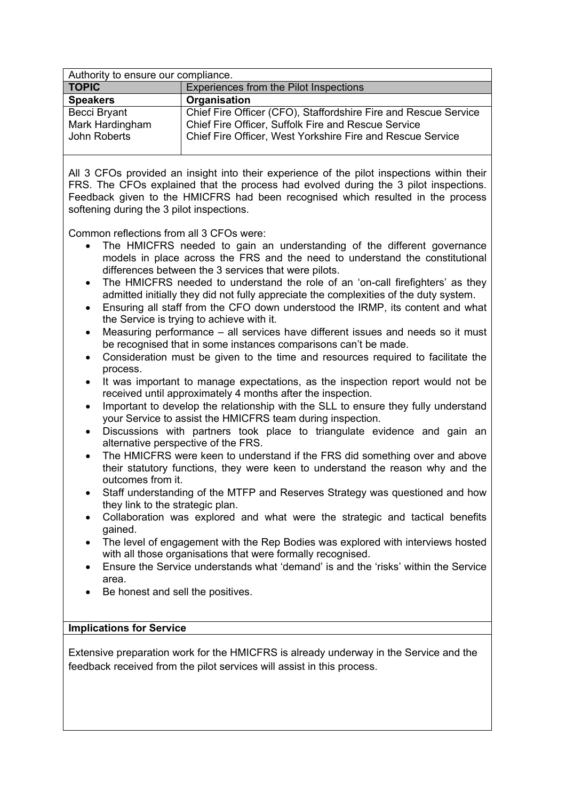| Authority to ensure our compliance. |                                                                 |  |
|-------------------------------------|-----------------------------------------------------------------|--|
| <b>TOPIC</b>                        | Experiences from the Pilot Inspections                          |  |
| <b>Speakers</b>                     | Organisation                                                    |  |
| Becci Bryant                        | Chief Fire Officer (CFO), Staffordshire Fire and Rescue Service |  |
| Mark Hardingham                     | Chief Fire Officer, Suffolk Fire and Rescue Service             |  |
| John Roberts                        | Chief Fire Officer, West Yorkshire Fire and Rescue Service      |  |
|                                     |                                                                 |  |

All 3 CFOs provided an insight into their experience of the pilot inspections within their FRS. The CFOs explained that the process had evolved during the 3 pilot inspections. Feedback given to the HMICFRS had been recognised which resulted in the process softening during the 3 pilot inspections.

Common reflections from all 3 CFOs were:

- The HMICFRS needed to gain an understanding of the different governance models in place across the FRS and the need to understand the constitutional differences between the 3 services that were pilots.
- The HMICFRS needed to understand the role of an 'on-call firefighters' as they admitted initially they did not fully appreciate the complexities of the duty system.
- Ensuring all staff from the CFO down understood the IRMP, its content and what the Service is trying to achieve with it.
- Measuring performance all services have different issues and needs so it must be recognised that in some instances comparisons can't be made.
- Consideration must be given to the time and resources required to facilitate the process.
- It was important to manage expectations, as the inspection report would not be received until approximately 4 months after the inspection.
- Important to develop the relationship with the SLL to ensure they fully understand your Service to assist the HMICFRS team during inspection.
- Discussions with partners took place to triangulate evidence and gain an alternative perspective of the FRS.
- The HMICFRS were keen to understand if the FRS did something over and above their statutory functions, they were keen to understand the reason why and the outcomes from it.
- Staff understanding of the MTFP and Reserves Strategy was questioned and how they link to the strategic plan.
- Collaboration was explored and what were the strategic and tactical benefits gained.
- The level of engagement with the Rep Bodies was explored with interviews hosted with all those organisations that were formally recognised.
- Ensure the Service understands what 'demand' is and the 'risks' within the Service area.
- Be honest and sell the positives.

## **Implications for Service**

Extensive preparation work for the HMICFRS is already underway in the Service and the feedback received from the pilot services will assist in this process.